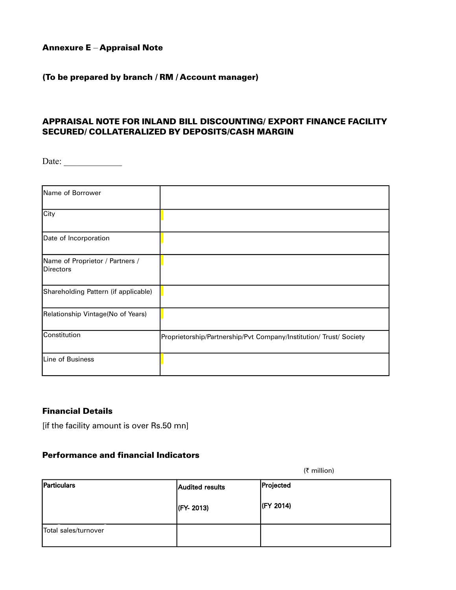## Annexure E – Appraisal Note

#### (To be prepared by branch / RM / Account manager)

## APPRAISAL NOTE FOR INLAND BILL DISCOUNTING/ EXPORT FINANCE FACILITY SECURED/ COLLATERALIZED BY DEPOSITS/CASH MARGIN

Date: \_\_\_\_\_\_\_\_\_\_\_\_\_

| Name of Borrower                                    |                                                                    |
|-----------------------------------------------------|--------------------------------------------------------------------|
| City                                                |                                                                    |
| Date of Incorporation                               |                                                                    |
| Name of Proprietor / Partners /<br><b>Directors</b> |                                                                    |
| Shareholding Pattern (if applicable)                |                                                                    |
| Relationship Vintage(No of Years)                   |                                                                    |
| Constitution                                        | Proprietorship/Partnership/Pvt Company/Institution/ Trust/ Society |
| Line of Business                                    |                                                                    |

## Financial Details

[if the facility amount is over Rs.50 mn]

#### Performance and financial Indicators

Particulars **Audited results** (FY- 2013) Projected (FY 2014) Total sales/turnover

(` million)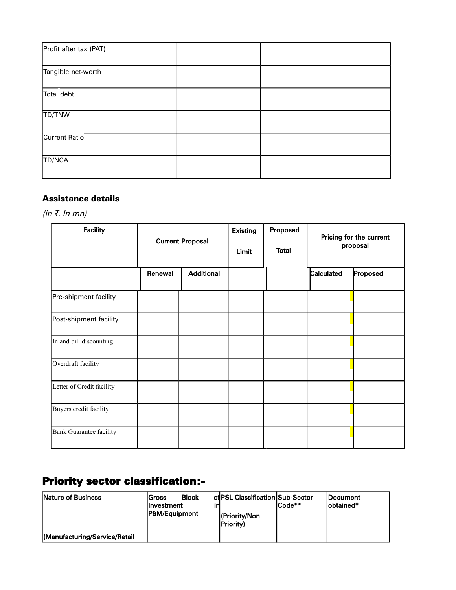| Profit after tax (PAT) |  |
|------------------------|--|
| Tangible net-worth     |  |
| Total debt             |  |
| TD/TNW                 |  |
| Current Ratio          |  |
| TD/NCA                 |  |

## Assistance details

(in  $\bar{z}$ . In mn)

| <b>Facility</b>           | <b>Current Proposal</b> |                   | <b>Existing</b><br>Limit | Proposed<br><b>Total</b> |            | Pricing for the current<br>proposal |
|---------------------------|-------------------------|-------------------|--------------------------|--------------------------|------------|-------------------------------------|
|                           | Renewal                 | <b>Additional</b> |                          |                          | Calculated | Proposed                            |
| Pre-shipment facility     |                         |                   |                          |                          |            |                                     |
| Post-shipment facility    |                         |                   |                          |                          |            |                                     |
| Inland bill discounting   |                         |                   |                          |                          |            |                                     |
| Overdraft facility        |                         |                   |                          |                          |            |                                     |
| Letter of Credit facility |                         |                   |                          |                          |            |                                     |
| Buyers credit facility    |                         |                   |                          |                          |            |                                     |
| Bank Guarantee facility   |                         |                   |                          |                          |            |                                     |

# Priority sector classification:-

| Nature of Business            | Gross<br>llnvestment<br>IP&M/Eauipment | <b>Block</b> | of PSL Classification Sub-Sector<br>l(Priority/Non | ICode** | <b>IDocument</b><br>lobtained* |
|-------------------------------|----------------------------------------|--------------|----------------------------------------------------|---------|--------------------------------|
| (Manufacturing/Service/Retail |                                        |              | <b>Priority</b> )                                  |         |                                |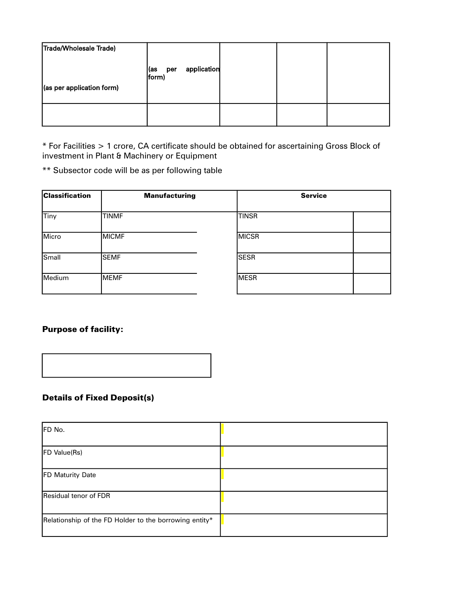| Trade/Wholesale Trade)<br>(as per application form) | application<br> (as<br>per<br> form) |  |  |
|-----------------------------------------------------|--------------------------------------|--|--|
|                                                     |                                      |  |  |

\* For Facilities > 1 crore, CA certificate should be obtained for ascertaining Gross Block of investment in Plant & Machinery or Equipment

\*\* Subsector code will be as per following table

| <b>Classification</b> | <b>Manufacturing</b> | <b>Service</b> |  |
|-----------------------|----------------------|----------------|--|
| Tiny                  | <b>TINMF</b>         | <b>TINSR</b>   |  |
| Micro                 | <b>MICMF</b>         | <b>MICSR</b>   |  |
| Small                 | <b>SEMF</b>          | <b>SESR</b>    |  |
| Medium                | <b>MEMF</b>          | <b>MESR</b>    |  |
|                       |                      |                |  |

## Purpose of facility:



## Details of Fixed Deposit(s)

| FD No.                                                 |  |
|--------------------------------------------------------|--|
| <b>FD Value(Rs)</b>                                    |  |
| <b>FD Maturity Date</b>                                |  |
| Residual tenor of FDR                                  |  |
| Relationship of the FD Holder to the borrowing entity* |  |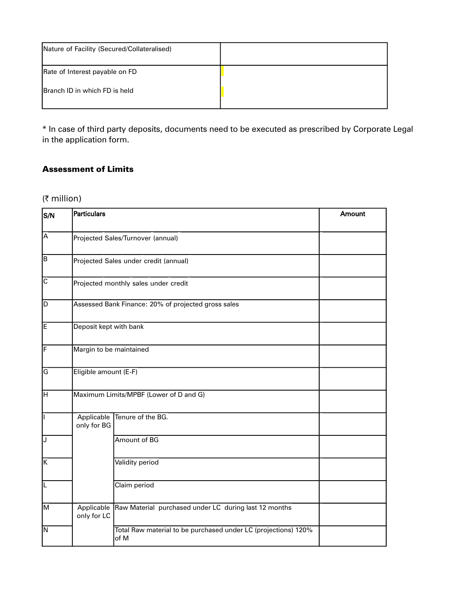| Nature of Facility (Secured/Collateralised) |  |
|---------------------------------------------|--|
| Rate of Interest payable on FD              |  |
| <b>Branch ID in which FD is held</b>        |  |

\* In case of third party deposits, documents need to be executed as prescribed by Corporate Legal in the application form.

## Assessment of Limits

## ( $\bar{\tau}$  million)

| S/N                     | Particulars               |                                                                        | Amount |  |
|-------------------------|---------------------------|------------------------------------------------------------------------|--------|--|
| Ā                       |                           | Projected Sales/Turnover (annual)                                      |        |  |
| ÍВ.                     |                           | Projected Sales under credit (annual)                                  |        |  |
| $\overline{\mathsf{c}}$ |                           | Projected monthly sales under credit                                   |        |  |
| D                       |                           | Assessed Bank Finance: 20% of projected gross sales                    |        |  |
| E                       | Deposit kept with bank    |                                                                        |        |  |
| F                       | Margin to be maintained   |                                                                        |        |  |
| G                       | Eligible amount (E-F)     |                                                                        |        |  |
| $\overline{\mathsf{H}}$ |                           | Maximum Limits/MPBF (Lower of D and G)                                 |        |  |
| Γ                       | Applicable<br>only for BG | Tenure of the BG.                                                      |        |  |
| ℾ                       |                           | Amount of BG                                                           |        |  |
| Κ                       |                           | Validity period                                                        |        |  |
| [∟                      |                           | Claim period                                                           |        |  |
| M                       | Applicable<br>only for LC | Raw Material purchased under LC during last 12 months                  |        |  |
| N                       |                           | Total Raw material to be purchased under LC (projections) 120%<br>of M |        |  |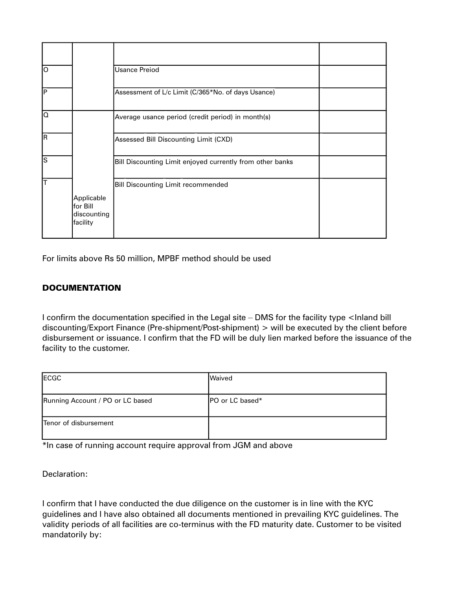| lo |                                                   | <b>Usance Preiod</b>                                      |  |
|----|---------------------------------------------------|-----------------------------------------------------------|--|
| İΡ |                                                   | Assessment of L/c Limit (C/365*No. of days Usance)        |  |
| O  |                                                   | Average usance period (credit period) in month(s)         |  |
| lR |                                                   | Assessed Bill Discounting Limit (CXD)                     |  |
| ls |                                                   | Bill Discounting Limit enjoyed currently from other banks |  |
|    |                                                   | <b>Bill Discounting Limit recommended</b>                 |  |
|    | Applicable<br>for Bill<br>discounting<br>facility |                                                           |  |

For limits above Rs 50 million, MPBF method should be used

## **DOCUMENTATION**

I confirm the documentation specified in the Legal site – DMS for the facility type <Inland bill discounting/Export Finance (Pre-shipment/Post-shipment) > will be executed by the client before disbursement or issuance. I confirm that the FD will be duly lien marked before the issuance of the facility to the customer.

| ECGC                             | <b>Waived</b>           |
|----------------------------------|-------------------------|
| Running Account / PO or LC based | <b>IPO or LC based*</b> |
| Tenor of disbursement            |                         |

\*In case of running account require approval from JGM and above

Declaration:

I confirm that I have conducted the due diligence on the customer is in line with the KYC guidelines and I have also obtained all documents mentioned in prevailing KYC guidelines. The validity periods of all facilities are co-terminus with the FD maturity date. Customer to be visited mandatorily by: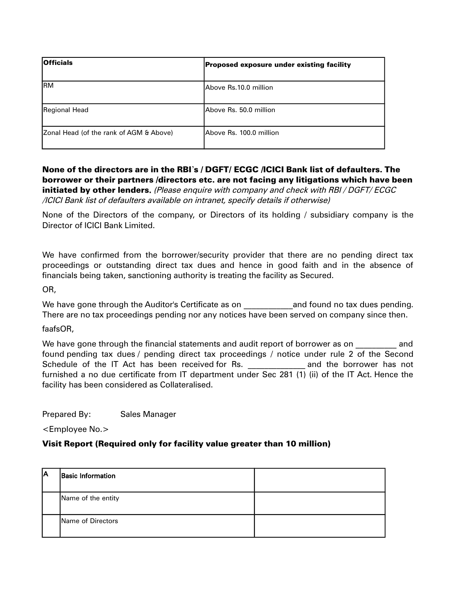| <b>Officials</b>                        | Proposed exposure under existing facility |
|-----------------------------------------|-------------------------------------------|
| <b>RM</b>                               | Above Rs.10.0 million                     |
| Regional Head                           | Above Rs. 50.0 million                    |
| Zonal Head (of the rank of AGM & Above) | Above Rs. 100.0 million                   |

## None of the directors are in the RBI's / DGFT/ ECGC /ICICI Bank list of defaulters. The borrower or their partners /directors etc. are not facing any litigations which have been initiated by other lenders. (Please enquire with company and check with RBI / DGFT/ ECGC /ICICI Bank list of defaulters available on intranet, specify details if otherwise)

None of the Directors of the company, or Directors of its holding / subsidiary company is the Director of ICICI Bank Limited.

We have confirmed from the borrower/security provider that there are no pending direct tax proceedings or outstanding direct tax dues and hence in good faith and in the absence of financials being taken, sanctioning authority is treating the facility as Secured.

OR,

We have gone through the Auditor's Certificate as on **the audit of the and found no tax dues pending.** There are no tax proceedings pending nor any notices have been served on company since then.

faafsOR,

We have gone through the financial statements and audit report of borrower as on **and** found pending tax dues / pending direct tax proceedings / notice under rule 2 of the Second Schedule of the IT Act has been received for Rs. The same and the borrower has not furnished a no due certificate from IT department under Sec 281 (1) (ii) of the IT Act. Hence the facility has been considered as Collateralised.

Prepared By: Sales Manager

<Employee No.>

#### Visit Report (Required only for facility value greater than 10 million)

| ΙA | <b>Basic Information</b> |  |
|----|--------------------------|--|
|    | Name of the entity       |  |
|    | Name of Directors        |  |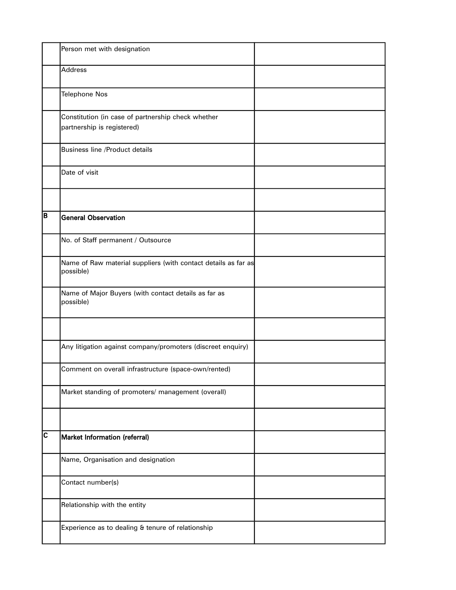|                         | Person met with designation                                                      |  |
|-------------------------|----------------------------------------------------------------------------------|--|
|                         | <b>Address</b>                                                                   |  |
|                         | <b>Telephone Nos</b>                                                             |  |
|                         | Constitution (in case of partnership check whether<br>partnership is registered) |  |
|                         | <b>Business line /Product details</b>                                            |  |
|                         | Date of visit                                                                    |  |
|                         |                                                                                  |  |
| B                       | <b>General Observation</b>                                                       |  |
|                         | No. of Staff permanent / Outsource                                               |  |
|                         | Name of Raw material suppliers (with contact details as far as<br>possible)      |  |
|                         | Name of Major Buyers (with contact details as far as<br>possible)                |  |
|                         |                                                                                  |  |
|                         | Any litigation against company/promoters (discreet enquiry)                      |  |
|                         | Comment on overall infrastructure (space-own/rented)                             |  |
|                         | Market standing of promoters/ management (overall)                               |  |
|                         |                                                                                  |  |
| $\overline{\mathbf{c}}$ | <b>Market Information (referral)</b>                                             |  |
|                         | Name, Organisation and designation                                               |  |
|                         | Contact number(s)                                                                |  |
|                         | Relationship with the entity                                                     |  |
|                         | Experience as to dealing & tenure of relationship                                |  |